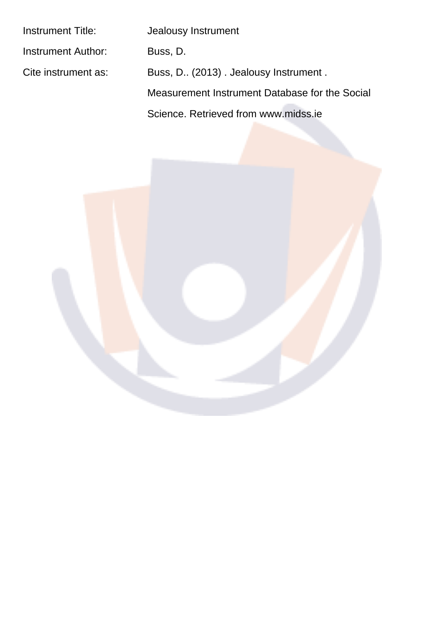| Instrument Title:   | Jealousy Instrument                            |
|---------------------|------------------------------------------------|
| Instrument Author:  | Buss, D.                                       |
| Cite instrument as: | Buss, D. (2013). Jealousy Instrument.          |
|                     | Measurement Instrument Database for the Social |
|                     | Science, Retrieved from www.midss.ie           |
|                     |                                                |

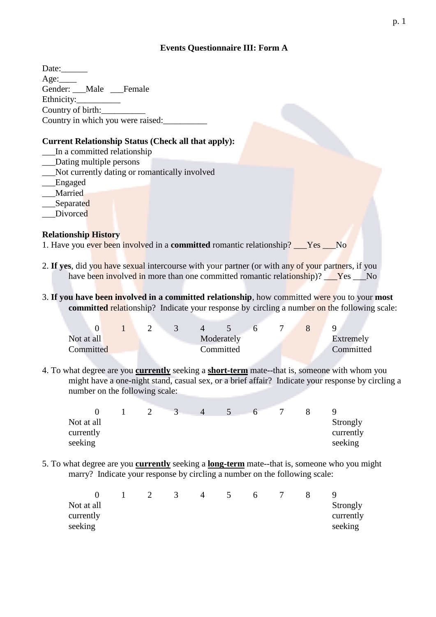# **Events Questionnaire III: Form A**

### **Current Relationship Status (Check all that apply):**

- In a committed relationship
- Dating multiple persons
- \_\_Not currently dating or romantically involved
- Engaged
- Married
- Separated
- Divorced

### **Relationship History**

- 1. Have you ever been involved in a committed romantic relationship? <u>Ves No</u>
- 2. If yes, did you have sexual intercourse with your partner (or with any of your partners, if you have been involved in more than one committed romantic relationship)? <u>Yes</u> No
- 3. If you have been involved in a committed relationship, how committed were you to your most committed relationship? Indicate your response by circling a number on the following scale:

| Not at all |  |  | Moderately |  | Extremely |
|------------|--|--|------------|--|-----------|
| Committed  |  |  | Committed  |  | Committed |

4. To what degree are you **currently** seeking a **short-term** mate--that is, someone with whom you might have a one-night stand, casual sex, or a brief affair? Indicate your response by circling a number on the following scale:

|            |  | $\overline{4}$ | h |  |           |
|------------|--|----------------|---|--|-----------|
| Not at all |  |                |   |  | Strongly  |
| currently  |  |                |   |  | currently |
| seeking    |  |                |   |  | seeking   |

5. To what degree are you **currently** seeking a **long-term** mate-that is, someone who you might marry? Indicate your response by circling a number on the following scale:

|            |  |  |  | h |  |           |
|------------|--|--|--|---|--|-----------|
| Not at all |  |  |  |   |  | Strongly  |
| currently  |  |  |  |   |  | currently |
| seeking    |  |  |  |   |  | seeking   |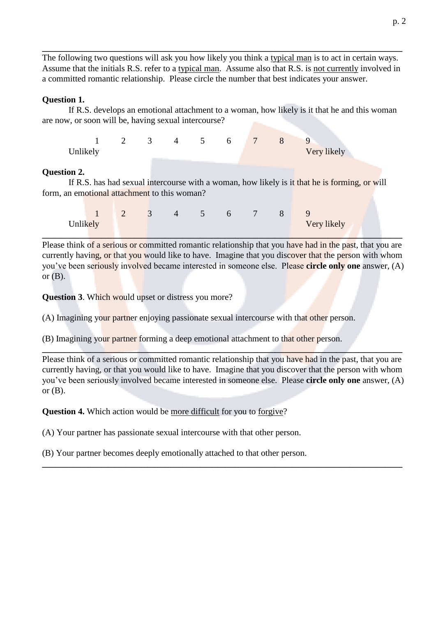The following two questions will ask you how likely you think a typical man is to act in certain ways. Assume that the initials R.S. refer to a typical man. Assume also that R.S. is not currently involved in a committed romantic relationship. Please circle the number that best indicates your answer.

#### **Question 1.**

If R.S. develops an emotional attachment to a woman, how likely is it that he and this woman are now, or soon will be, having sexual intercourse?

 $\mathbf{1}$  $\overline{2}$  $\mathcal{F}$  $\overline{4}$  $\overline{\mathbf{5}}$  $\overline{7}$ 8 9 6 Very likely Unlikely

#### **Ouestion 2.**

If R.S. has had sexual intercourse with a woman, how likely is it that he is forming, or will form, an emotional attachment to this woman?

|          | $1$ 2 3 4 5 6 7 8 9 |  |  |  |             |
|----------|---------------------|--|--|--|-------------|
| Unlikely |                     |  |  |  | Very likely |

Please think of a serious or committed romantic relationship that you have had in the past, that you are currently having, or that you would like to have. Imagine that you discover that the person with whom you've been seriously involved became interested in someone else. Please circle only one answer, (A) or  $(B)$ .

**Question 3.** Which would upset or distress you more?

(A) Imagining your partner enjoying passionate sexual intercourse with that other person.

(B) Imagining your partner forming a deep emotional attachment to that other person.

Please think of a serious or committed romantic relationship that you have had in the past, that you are currently having, or that you would like to have. Imagine that you discover that the person with whom you've been seriously involved became interested in someone else. Please circle only one answer, (A) or  $(B)$ .

**Question 4.** Which action would be more difficult for you to forgive?

(A) Your partner has passionate sexual intercourse with that other person.

(B) Your partner becomes deeply emotionally attached to that other person.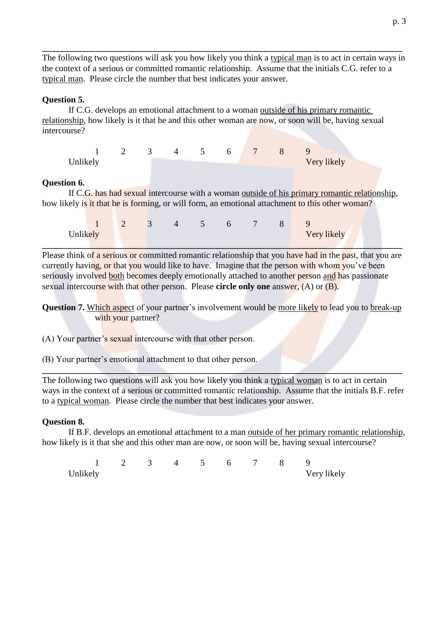The following two questions will ask you how likely you think a typical man is to act in certain ways in the context of a serious or committed romantic relationship. Assume that the initials C.G. refer to a typical man. Please circle the number that best indicates your answer.

## **Question 5.**

If C.G. develops an emotional attachment to a woman outside of his primary romantic relationship, how likely is it that he and this other woman are now, or soon will be, having sexual intercourse?

| 1 2 3 4 5 6 7 8 9 |  |  |  |             |
|-------------------|--|--|--|-------------|
| Unlikely          |  |  |  | Very likely |

### **Ouestion 6.**

If C.G. has had sexual intercourse with a woman outside of his primary romantic relationship, how likely is it that he is forming, or will form, an emotional attachment to this other woman?

|          | $\begin{array}{ccccccccccccccccccccccccc} & 1 & 2 & 3 & 4 & 5 & 6 & 7 & 8 & 9 \end{array}$ |  |  |  |             |
|----------|--------------------------------------------------------------------------------------------|--|--|--|-------------|
| Unlikely |                                                                                            |  |  |  | Very likely |

Please think of a serious or committed romantic relationship that you have had in the past, that you are currently having, or that you would like to have. Imagine that the person with whom you've been seriously involved both becomes deeply emotionally attached to another person and has passionate sexual intercourse with that other person. Please circle only one answer,  $(A)$  or  $(B)$ .

Question 7. Which aspect of your partner's involvement would be more likely to lead you to break-up with your partner?

(A) Your partner's sexual intercourse with that other person.

(B) Your partner's emotional attachment to that other person.

The following two questions will ask you how likely you think a typical woman is to act in certain ways in the context of a serious or committed romantic relationship. Assume that the initials B.F. refer to a typical woman. Please circle the number that best indicates your answer.

# **Ouestion 8.**

If B.F. develops an emotional attachment to a man outside of her primary romantic relationship, how likely is it that she and this other man are now, or soon will be, having sexual intercourse?

 $\mathcal{D}$  $\mathcal{R}$  $\Lambda$  $\overline{\mathbf{S}}$  $6^{\circ}$  $\tau$  $\mathbf{R}$  $\mathbf{1}$  $\mathbf Q$ Unlikely Very likely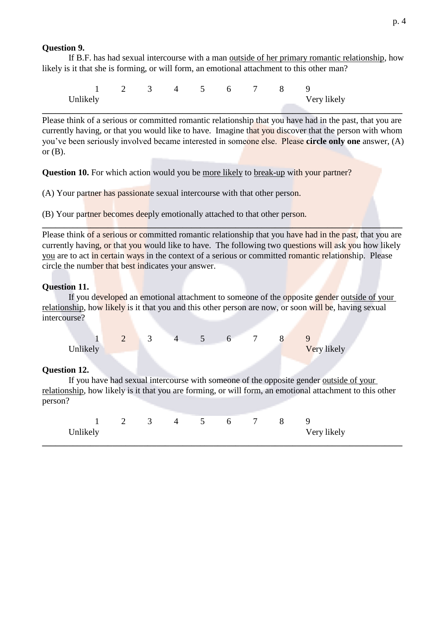## **Ouestion 9.**

If B.F. has had sexual intercourse with a man outside of her primary romantic relationship, how likely is it that she is forming, or will form, an emotional attachment to this other man?

 $\mathcal{D}$  $\overline{\mathbf{5}}$  $\overline{6}$  $\mathbf{Q}$  $\mathbf{1}$  $\mathcal{F}$  $\overline{4}$  $\tau$  $\mathbf{R}$ Unlikely Very likely

Please think of a serious or committed romantic relationship that you have had in the past, that you are currently having, or that you would like to have. Imagine that you discover that the person with whom you've been seriously involved became interested in someone else. Please circle only one answer, (A) or  $(B)$ .

**Question 10.** For which action would you be more likely to break-up with your partner?

(A) Your partner has passionate sexual intercourse with that other person.

(B) Your partner becomes deeply emotionally attached to that other person.

Please think of a serious or committed romantic relationship that you have had in the past, that you are currently having, or that you would like to have. The following two questions will ask you how likely you are to act in certain ways in the context of a serious or committed romantic relationship. Please circle the number that best indicates your answer.

## **Ouestion 11.**

If you developed an emotional attachment to someone of the opposite gender outside of your relationship, how likely is it that you and this other person are now, or soon will be, having sexual intercourse?

 $\mathbf{1}$  $\overline{2}$ 3  $\mathbf{A}$  $5^{\circ}$ 6  $\tau$ 8  $\mathbf Q$ Unlikely Very likely

### **Ouestion 12.**

If you have had sexual intercourse with someone of the opposite gender outside of your relationship, how likely is it that you are forming, or will form, an emotional attachment to this other person?

|          | 1 2 3 4 5 6 7 8 9 |  |  |  |             |
|----------|-------------------|--|--|--|-------------|
| Unlikely |                   |  |  |  | Very likely |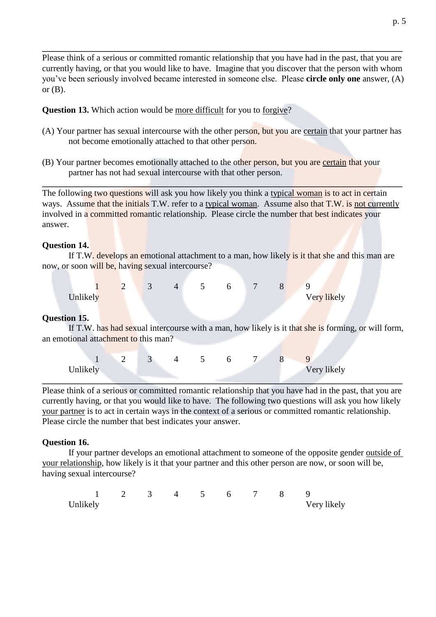Please think of a serious or committed romantic relationship that you have had in the past, that you are currently having, or that you would like to have. Imagine that you discover that the person with whom you've been seriously involved became interested in someone else. Please circle only one answer, (A) or  $(B)$ .

**Question 13.** Which action would be more difficult for you to forgive?

- (A) Your partner has sexual intercourse with the other person, but you are certain that your partner has not become emotionally attached to that other person.
- (B) Your partner becomes emotionally attached to the other person, but you are certain that your partner has not had sexual intercourse with that other person.

The following two questions will ask you how likely you think a typical woman is to act in certain ways. Assume that the initials T.W. refer to a typical woman. Assume also that T.W. is not currently involved in a committed romantic relationship. Please circle the number that best indicates your answer.

#### **Ouestion 14.**

If T.W. develops an emotional attachment to a man, how likely is it that she and this man are now, or soon will be, having sexual intercourse?

| $1 \t 2$ | $\overline{\phantom{a}3}$ |  | 4 5 6 7 8 9 |  |             |  |
|----------|---------------------------|--|-------------|--|-------------|--|
| Unlikely |                           |  |             |  | Very likely |  |

### **Ouestion 15.**

If T.W. has had sexual intercourse with a man, how likely is it that she is forming, or will form, an emotional attachment to this man?

| 1 2 3 4 5 6 7 8 1 |  |  |  |             |
|-------------------|--|--|--|-------------|
| Unlikely          |  |  |  | Very likely |

Please think of a serious or committed romantic relationship that you have had in the past, that you are currently having, or that you would like to have. The following two questions will ask you how likely your partner is to act in certain ways in the context of a serious or committed romantic relationship. Please circle the number that best indicates your answer.

### **Question 16.**

If your partner develops an emotional attachment to someone of the opposite gender outside of your relationship, how likely is it that your partner and this other person are now, or soon will be, having sexual intercourse?

| 1 2 3 4 5 6 7 8 9 |  |  |  |  |             |
|-------------------|--|--|--|--|-------------|
| Unlikely          |  |  |  |  | Very likely |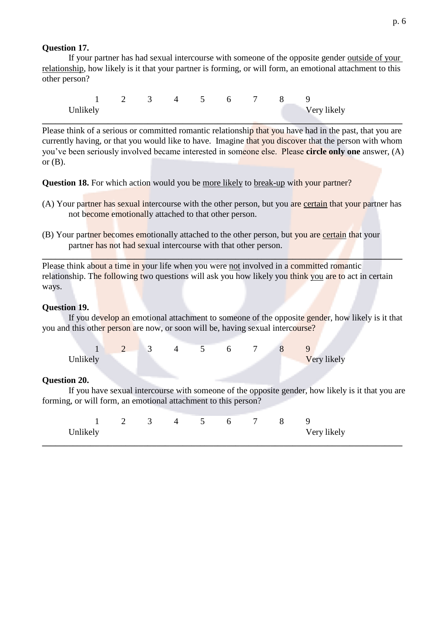## **Ouestion 17.**

If your partner has had sexual intercourse with someone of the opposite gender outside of your relationship, how likely is it that your partner is forming, or will form, an emotional attachment to this other person?

 $\mathbf{1}$  $\mathcal{D}$  $\mathcal{R}$  $\overline{4}$  $\overline{\mathbf{5}}$  $\tau$  $\mathbf{R}$  $\mathbf Q$ 6 Very likely Unlikely

Please think of a serious or committed romantic relationship that you have had in the past, that you are currently having, or that you would like to have. Imagine that you discover that the person with whom you've been seriously involved became interested in someone else. Please circle only one answer, (A) or  $(B)$ .

**Question 18.** For which action would you be more likely to break-up with your partner?

- (A) Your partner has sexual intercourse with the other person, but you are certain that your partner has not become emotionally attached to that other person.
- (B) Your partner becomes emotionally attached to the other person, but you are certain that your partner has not had sexual intercourse with that other person.

Please think about a time in your life when you were not involved in a committed romantic relationship. The following two questions will ask you how likely you think you are to act in certain ways.

### **Question 19.**

If you develop an emotional attachment to someone of the opposite gender, how likely is it that you and this other person are now, or soon will be, having sexual intercourse?

|          | 2 3 | 4 5 | 6 7 |  |                    |
|----------|-----|-----|-----|--|--------------------|
| Unlikely |     |     |     |  | <b>Very likely</b> |

### **Question 20.**

If you have sexual intercourse with someone of the opposite gender, how likely is it that you are forming, or will form, an emotional attachment to this person?

|          | $1 \t2 \t3 \t4 \t5 \t6 \t7 \t8 \t9$ |  |  |  |             |
|----------|-------------------------------------|--|--|--|-------------|
| Unlikely |                                     |  |  |  | Very likely |